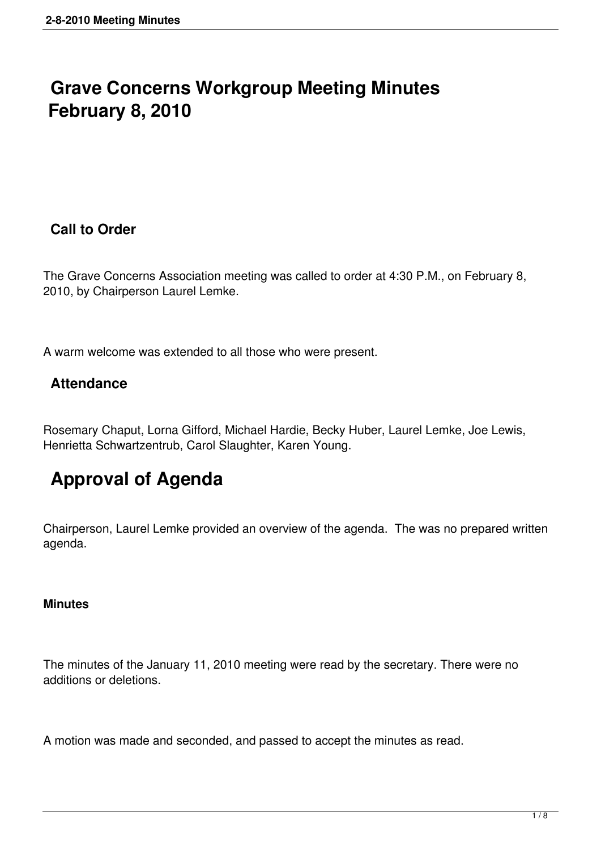## **Grave Concerns Workgroup Meeting Minutes February 8, 2010**

### **Call to Order**

The Grave Concerns Association meeting was called to order at 4:30 P.M., on February 8, 2010, by Chairperson Laurel Lemke.

A warm welcome was extended to all those who were present.

### **Attendance**

Rosemary Chaput, Lorna Gifford, Michael Hardie, Becky Huber, Laurel Lemke, Joe Lewis, Henrietta Schwartzentrub, Carol Slaughter, Karen Young.

# **Approval of Agenda**

Chairperson, Laurel Lemke provided an overview of the agenda. The was no prepared written agenda.

#### **Minutes**

The minutes of the January 11, 2010 meeting were read by the secretary. There were no additions or deletions.

A motion was made and seconded, and passed to accept the minutes as read.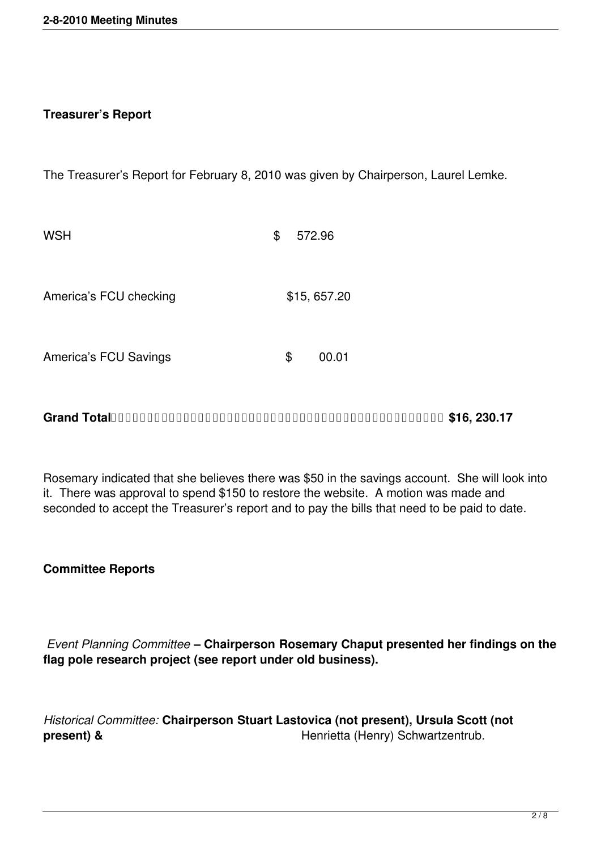#### **Treasurer's Report**

The Treasurer's Report for February 8, 2010 was given by Chairperson, Laurel Lemke.

| <b>WSH</b>                   | \$<br>572.96 |
|------------------------------|--------------|
| America's FCU checking       | \$15,657.20  |
| <b>America's FCU Savings</b> | \$<br>00.01  |

**Grand Total \$16, 230.17**

Rosemary indicated that she believes there was \$50 in the savings account. She will look into it. There was approval to spend \$150 to restore the website. A motion was made and seconded to accept the Treasurer's report and to pay the bills that need to be paid to date.

**Committee Reports** 

 *Event Planning Committee* **– Chairperson Rosemary Chaput presented her findings on the flag pole research project (see report under old business).** 

*Historical Committee:* **Chairperson Stuart Lastovica (not present), Ursula Scott (not present) &** Henrietta (Henry) Schwartzentrub.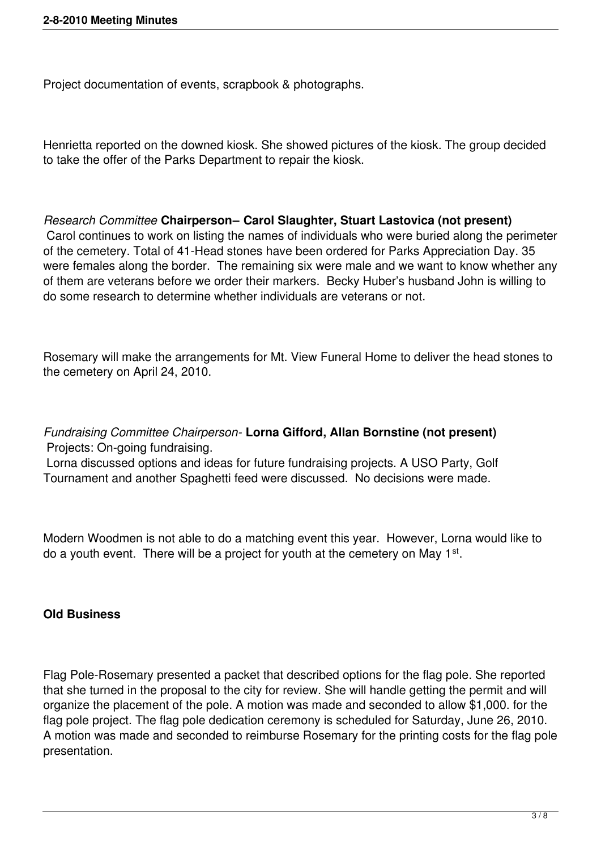Project documentation of events, scrapbook & photographs.

Henrietta reported on the downed kiosk. She showed pictures of the kiosk. The group decided to take the offer of the Parks Department to repair the kiosk.

#### *Research Committee* **Chairperson– Carol Slaughter, Stuart Lastovica (not present)** Carol continues to work on listing the names of individuals who were buried along the perimeter of the cemetery. Total of 41-Head stones have been ordered for Parks Appreciation Day. 35 were females along the border. The remaining six were male and we want to know whether any of them are veterans before we order their markers. Becky Huber's husband John is willing to

Rosemary will make the arrangements for Mt. View Funeral Home to deliver the head stones to the cemetery on April 24, 2010.

*Fundraising Committee Chairperson-* **Lorna Gifford, Allan Bornstine (not present)** Projects: On-going fundraising.

do some research to determine whether individuals are veterans or not.

 Lorna discussed options and ideas for future fundraising projects. A USO Party, Golf Tournament and another Spaghetti feed were discussed. No decisions were made.

Modern Woodmen is not able to do a matching event this year. However, Lorna would like to do a youth event. There will be a project for youth at the cemetery on May 1<sup>st</sup>.

#### **Old Business**

Flag Pole-Rosemary presented a packet that described options for the flag pole. She reported that she turned in the proposal to the city for review. She will handle getting the permit and will organize the placement of the pole. A motion was made and seconded to allow \$1,000. for the flag pole project. The flag pole dedication ceremony is scheduled for Saturday, June 26, 2010. A motion was made and seconded to reimburse Rosemary for the printing costs for the flag pole presentation.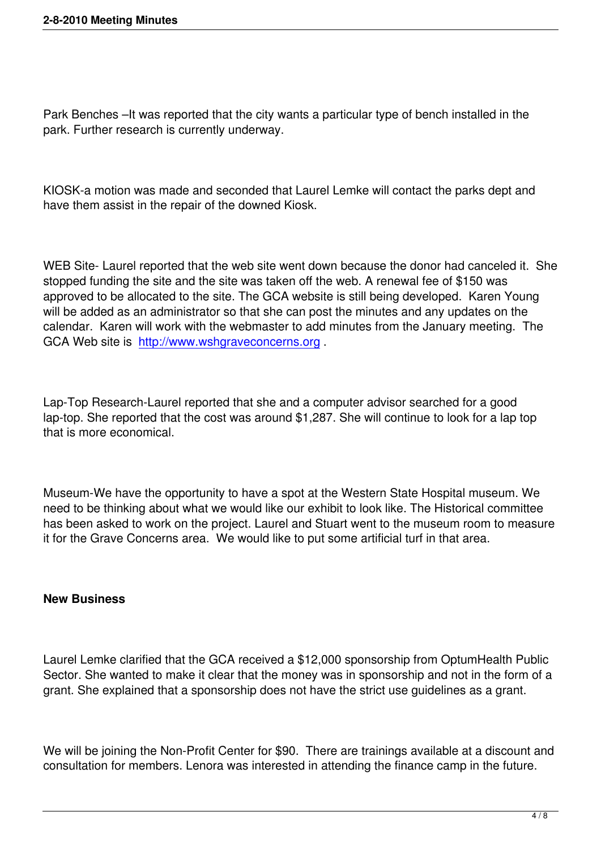Park Benches –It was reported that the city wants a particular type of bench installed in the park. Further research is currently underway.

KIOSK-a motion was made and seconded that Laurel Lemke will contact the parks dept and have them assist in the repair of the downed Kiosk.

WEB Site- Laurel reported that the web site went down because the donor had canceled it. She stopped funding the site and the site was taken off the web. A renewal fee of \$150 was approved to be allocated to the site. The GCA website is still being developed. Karen Young will be added as an administrator so that she can post the minutes and any updates on the calendar. Karen will work with the webmaster to add minutes from the January meeting. The GCA Web site is http://www.wshgraveconcerns.org .

Lap-Top Researc[h-Laurel reported that she and a co](http://www.wshgraveconcerns.org/)mputer advisor searched for a good lap-top. She reported that the cost was around \$1,287. She will continue to look for a lap top that is more economical.

Museum-We have the opportunity to have a spot at the Western State Hospital museum. We need to be thinking about what we would like our exhibit to look like. The Historical committee has been asked to work on the project. Laurel and Stuart went to the museum room to measure it for the Grave Concerns area. We would like to put some artificial turf in that area.

#### **New Business**

Laurel Lemke clarified that the GCA received a \$12,000 sponsorship from OptumHealth Public Sector. She wanted to make it clear that the money was in sponsorship and not in the form of a grant. She explained that a sponsorship does not have the strict use guidelines as a grant.

We will be joining the Non-Profit Center for \$90. There are trainings available at a discount and consultation for members. Lenora was interested in attending the finance camp in the future.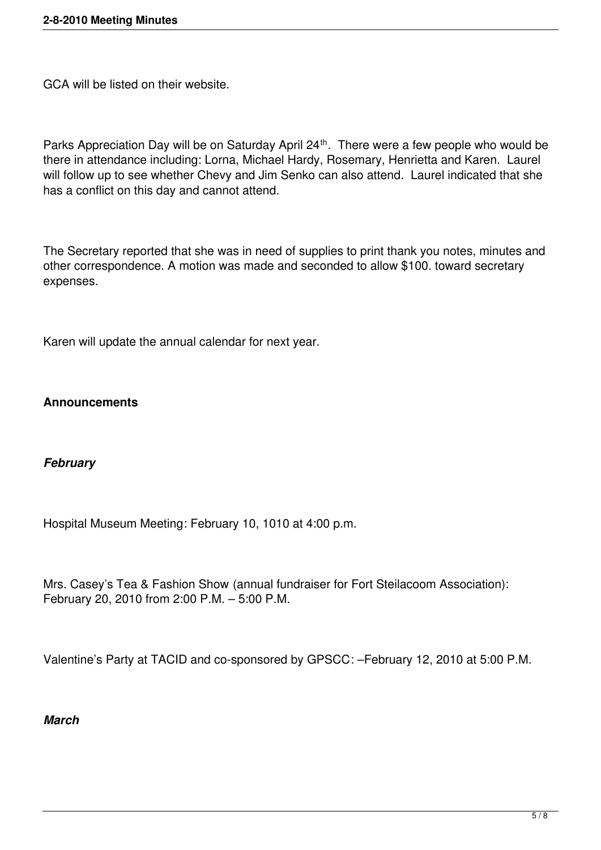GCA will be listed on their website.

Parks Appreciation Day will be on Saturday April 24<sup>th</sup>. There were a few people who would be there in attendance including: Lorna, Michael Hardy, Rosemary, Henrietta and Karen. Laurel will follow up to see whether Chevy and Jim Senko can also attend. Laurel indicated that she has a conflict on this day and cannot attend.

The Secretary reported that she was in need of supplies to print thank you notes, minutes and other correspondence. A motion was made and seconded to allow \$100. toward secretary expenses.

Karen will update the annual calendar for next year.

#### **Announcements**

#### *February*

Hospital Museum Meeting: February 10, 1010 at 4:00 p.m.

Mrs. Casey's Tea & Fashion Show (annual fundraiser for Fort Steilacoom Association): February 20, 2010 from 2:00 P.M. – 5:00 P.M.

Valentine's Party at TACID and co-sponsored by GPSCC: –February 12, 2010 at 5:00 P.M.

#### *March*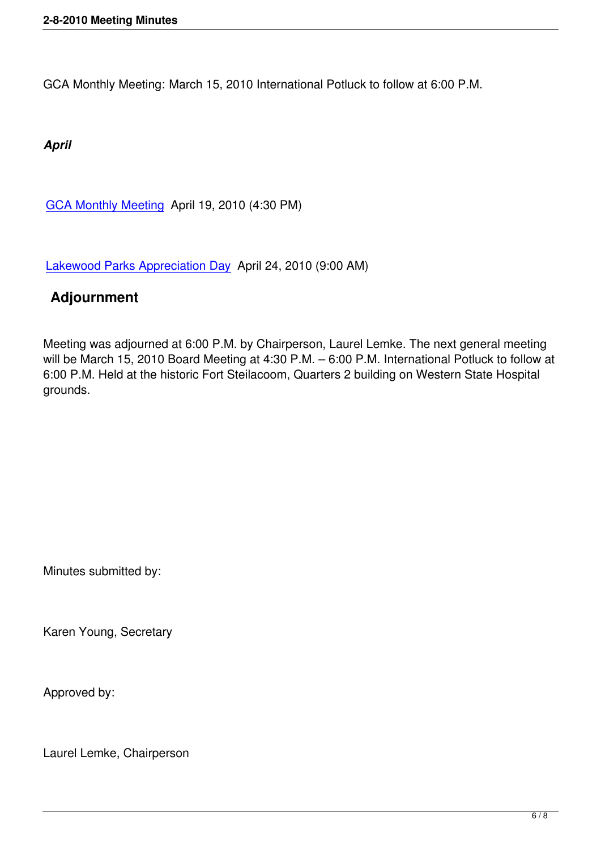GCA Monthly Meeting: March 15, 2010 International Potluck to follow at 6:00 P.M.

*April*

GCA Monthly Meeting April 19, 2010 (4:30 PM)

[Lakewood Parks Appre](http://www.wshgraveconcerns.org/component/jcalpro/view/28/12.html)ciation Day April 24, 2010 (9:00 AM)

## **Adjournment**

Meeting was adjourned at 6:00 P.M. by Chairperson, Laurel Lemke. The next general meeting will be March 15, 2010 Board Meeting at 4:30 P.M. – 6:00 P.M. International Potluck to follow at 6:00 P.M. Held at the historic Fort Steilacoom, Quarters 2 building on Western State Hospital grounds.

Minutes submitted by:

Karen Young, Secretary

Approved by:

Laurel Lemke, Chairperson